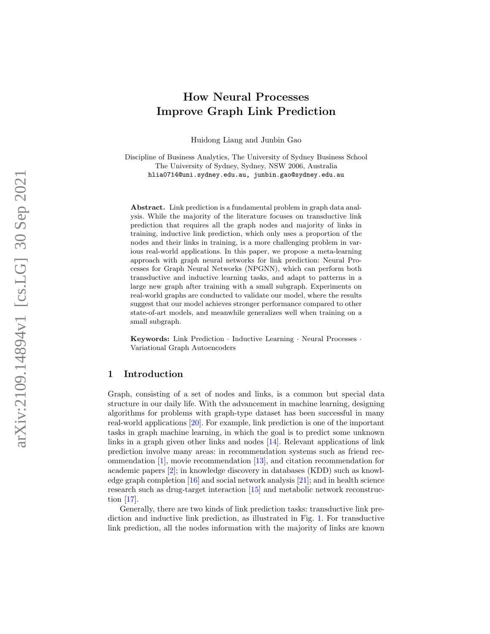# How Neural Processes Improve Graph Link Prediction

Huidong Liang and Junbin Gao

Discipline of Business Analytics, The University of Sydney Business School The University of Sydney, Sydney, NSW 2006, Australia [hlia0714@uni.sydney.edu.au](mailto:hlia0714@uni.sydney.edu.au) , [junbin.gao@sydney.edu.au](mailto:junbin.gao@sydney.edu.au)

Abstract. Link prediction is a fundamental problem in graph data analysis. While the majority of the literature focuses on transductive link prediction that requires all the graph nodes and majority of links in training, inductive link prediction, which only uses a proportion of the nodes and their links in training, is a more challenging problem in various real-world applications. In this paper, we propose a meta-learning approach with graph neural networks for link prediction: Neural Processes for Graph Neural Networks (NPGNN), which can perform both transductive and inductive learning tasks, and adapt to patterns in a large new graph after training with a small subgraph. Experiments on real-world graphs are conducted to validate our model, where the results suggest that our model achieves stronger performance compared to other state-of-art models, and meanwhile generalizes well when training on a small subgraph.

Keywords: Link Prediction · Inductive Learning · Neural Processes · Variational Graph Autoencoders

# 1 Introduction

Graph, consisting of a set of nodes and links, is a common but special data structure in our daily life. With the advancement in machine learning, designing algorithms for problems with graph-type dataset has been successful in many real-world applications [\[20\]](#page-11-0). For example, link prediction is one of the important tasks in graph machine learning, in which the goal is to predict some unknown links in a graph given other links and nodes [\[14\]](#page-11-1). Relevant applications of link prediction involve many areas: in recommendation systems such as friend recommendation [\[1\]](#page-10-0), movie recommendation [\[13\]](#page-11-2), and citation recommendation for academic papers [ [2\]](#page-11-3); in knowledge discovery in databases (KDD) such as knowledge graph completion [\[16\]](#page-11-4) and social network analysis [\[21\]](#page-11-5); and in health science research such as drug-target interaction [\[15\]](#page-11-6) and metabolic network reconstruction [\[17\]](#page-11-7).

Generally, there are two kinds of link prediction tasks: transductive link prediction and inductive link prediction, as illustrated in Fig. [1.](#page-1-0) For transductive link prediction, all the nodes information with the majority of links are known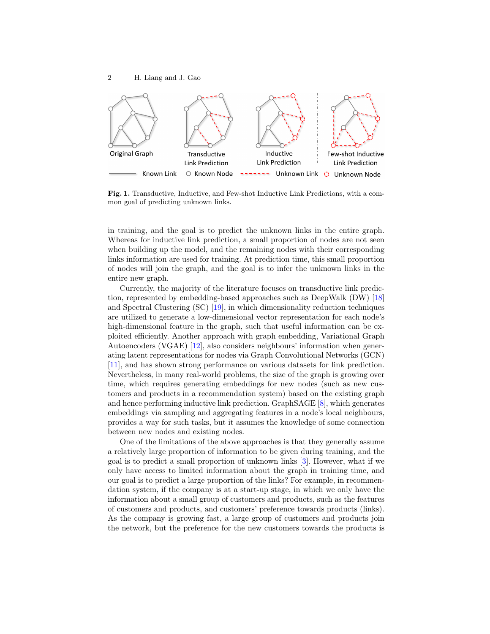

<span id="page-1-0"></span>Fig. 1. Transductive, Inductive, and Few-shot Inductive Link Predictions, with a common goal of predicting unknown links.

in training, and the goal is to predict the unknown links in the entire graph. Whereas for inductive link prediction, a small proportion of nodes are not seen when building up the model, and the remaining nodes with their corresponding links information are used for training. At prediction time, this small proportion of nodes will join the graph, and the goal is to infer the unknown links in the entire new graph.

Currently, the majority of the literature focuses on transductive link prediction, represented by embedding-based approaches such as DeepWalk (DW) [\[18\]](#page-11-8) and Spectral Clustering (SC) [\[19\]](#page-11-9), in which dimensionality reduction techniques are utilized to generate a low-dimensional vector representation for each node's high-dimensional feature in the graph, such that useful information can be exploited efficiently. Another approach with graph embedding, Variational Graph Autoencoders (VGAE) [\[12\]](#page-11-10), also considers neighbours' information when generating latent representations for nodes via Graph Convolutional Networks (GCN) [\[11\]](#page-11-11), and has shown strong performance on various datasets for link prediction. Nevertheless, in many real-world problems, the size of the graph is growing over time, which requires generating embeddings for new nodes (such as new customers and products in a recommendation system) based on the existing graph and hence performing inductive link prediction. GraphSAGE [\[8\]](#page-11-12), which generates embeddings via sampling and aggregating features in a node's local neighbours, provides a way for such tasks, but it assumes the knowledge of some connection between new nodes and existing nodes.

One of the limitations of the above approaches is that they generally assume a relatively large proportion of information to be given during training, and the goal is to predict a small proportion of unknown links [\[3\]](#page-11-13). However, what if we only have access to limited information about the graph in training time, and our goal is to predict a large proportion of the links? For example, in recommendation system, if the company is at a start-up stage, in which we only have the information about a small group of customers and products, such as the features of customers and products, and customers' preference towards products (links). As the company is growing fast, a large group of customers and products join the network, but the preference for the new customers towards the products is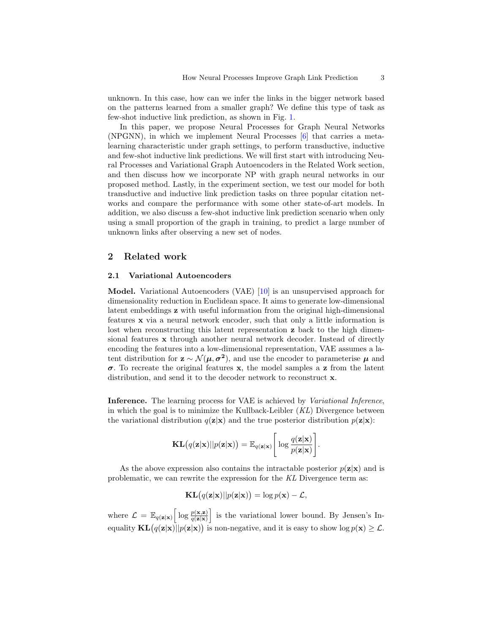unknown. In this case, how can we infer the links in the bigger network based on the patterns learned from a smaller graph? We define this type of task as few-shot inductive link prediction, as shown in Fig. [1.](#page-1-0)

In this paper, we propose Neural Processes for Graph Neural Networks (NPGNN), in which we implement Neural Processes [\[6\]](#page-11-14) that carries a metalearning characteristic under graph settings, to perform transductive, inductive and few-shot inductive link predictions. We will first start with introducing Neural Processes and Variational Graph Autoencoders in the Related Work section, and then discuss how we incorporate NP with graph neural networks in our proposed method. Lastly, in the experiment section, we test our model for both transductive and inductive link prediction tasks on three popular citation networks and compare the performance with some other state-of-art models. In addition, we also discuss a few-shot inductive link prediction scenario when only using a small proportion of the graph in training, to predict a large number of unknown links after observing a new set of nodes.

# 2 Related work

## 2.1 Variational Autoencoders

Model. Variational Autoencoders (VAE) [\[10\]](#page-11-15) is an unsupervised approach for dimensionality reduction in Euclidean space. It aims to generate low-dimensional latent embeddings z with useful information from the original high-dimensional features x via a neural network encoder, such that only a little information is lost when reconstructing this latent representation **z** back to the high dimensional features x through another neural network decoder. Instead of directly encoding the features into a low-dimensional representation, VAE assumes a latent distribution for  $\mathbf{z} \sim \mathcal{N}(\mu, \sigma^2)$ , and use the encoder to parameterise  $\mu$  and  $\sigma$ . To recreate the original features x, the model samples a z from the latent distribution, and send it to the decoder network to reconstruct **x**.

Inference. The learning process for VAE is achieved by Variational Inference, in which the goal is to minimize the Kullback-Leibler  $(KL)$  Divergence between the variational distribution  $q(\mathbf{z}|\mathbf{x})$  and the true posterior distribution  $p(\mathbf{z}|\mathbf{x})$ :

$$
\mathbf{KL}(q(\mathbf{z}|\mathbf{x})||p(\mathbf{z}|\mathbf{x})) = \mathbb{E}_{q(\mathbf{z}|\mathbf{x})}\left[\log \frac{q(\mathbf{z}|\mathbf{x})}{p(\mathbf{z}|\mathbf{x})}\right].
$$

As the above expression also contains the intractable posterior  $p(\mathbf{z}|\mathbf{x})$  and is problematic, we can rewrite the expression for the KL Divergence term as:

$$
\mathbf{KL}(q(\mathbf{z}|\mathbf{x})||p(\mathbf{z}|\mathbf{x})) = \log p(\mathbf{x}) - \mathcal{L},
$$

where  $\mathcal{L} = \mathbb{E}_{q(\mathbf{z}|\mathbf{x})} \left[ \log \frac{p(\mathbf{x}, \mathbf{z})}{q(\mathbf{z}|\mathbf{x})} \right]$  is the variational lower bound. By Jensen's Inequality  $KL(q(z|x)||p(z|x))$  is non-negative, and it is easy to show  $log p(x) \geq \mathcal{L}$ .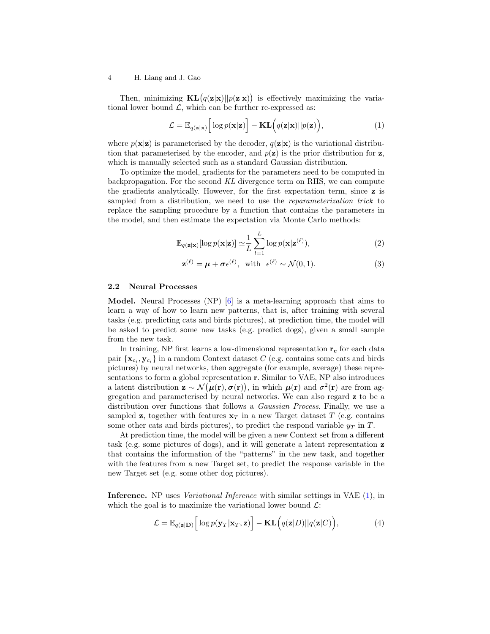## 4 H. Liang and J. Gao

Then, minimizing  $KL(q(z|x)||p(z|x))$  is effectively maximizing the variational lower bound  $\mathcal{L}$ , which can be further re-expressed as:

<span id="page-3-0"></span>
$$
\mathcal{L} = \mathbb{E}_{q(\mathbf{z}|\mathbf{x})} \Big[ \log p(\mathbf{x}|\mathbf{z}) \Big] - \mathbf{KL} \Big( q(\mathbf{z}|\mathbf{x}) || p(\mathbf{z}) \Big), \tag{1}
$$

where  $p(x|z)$  is parameterised by the decoder,  $q(z|x)$  is the variational distribution that parameterised by the encoder, and  $p(\mathbf{z})$  is the prior distribution for  $\mathbf{z}$ , which is manually selected such as a standard Gaussian distribution.

To optimize the model, gradients for the parameters need to be computed in backpropagation. For the second KL divergence term on RHS, we can compute the gradients analytically. However, for the first expectation term, since z is sampled from a distribution, we need to use the *reparameterization trick* to replace the sampling procedure by a function that contains the parameters in the model, and then estimate the expectation via Monte Carlo methods:

$$
\mathbb{E}_{q(\mathbf{z}|\mathbf{x})}[\log p(\mathbf{x}|\mathbf{z})] \simeq \frac{1}{L} \sum_{l=1}^{L} \log p(\mathbf{x}|\mathbf{z}^{(\ell)}),\tag{2}
$$

<span id="page-3-3"></span><span id="page-3-2"></span>
$$
\mathbf{z}^{(\ell)} = \boldsymbol{\mu} + \boldsymbol{\sigma} \epsilon^{(\ell)}, \quad \text{with} \quad \epsilon^{(\ell)} \sim \mathcal{N}(0, 1). \tag{3}
$$

## 2.2 Neural Processes

Model. Neural Processes (NP) [\[6\]](#page-11-14) is a meta-learning approach that aims to learn a way of how to learn new patterns, that is, after training with several tasks (e.g. predicting cats and birds pictures), at prediction time, the model will be asked to predict some new tasks (e.g. predict dogs), given a small sample from the new task.

In training, NP first learns a low-dimensional representation  $r_c$  for each data pair  $\{x_{c_i}, y_{c_i}\}$  in a random Context dataset C (e.g. contains some cats and birds pictures) by neural networks, then aggregate (for example, average) these representations to form a global representation r. Similar to VAE, NP also introduces a latent distribution  $\mathbf{z} \sim \mathcal{N}(\mu(\mathbf{r}), \sigma(\mathbf{r}))$ , in which  $\mu(\mathbf{r})$  and  $\sigma^2(\mathbf{r})$  are from aggregation and parameterised by neural networks. We can also regard z to be a distribution over functions that follows a *Gaussian Process*. Finally, we use a sampled z, together with features  $x_T$  in a new Target dataset T (e.g. contains some other cats and birds pictures), to predict the respond variable  $y_T$  in T.

At prediction time, the model will be given a new Context set from a different task (e.g. some pictures of dogs), and it will generate a latent representation z that contains the information of the "patterns" in the new task, and together with the features from a new Target set, to predict the response variable in the new Target set (e.g. some other dog pictures).

Inference. NP uses Variational Inference with similar settings in VAE [\(1\)](#page-3-0), in which the goal is to maximize the variational lower bound  $\mathcal{L}$ :

<span id="page-3-1"></span>
$$
\mathcal{L} = \mathbb{E}_{q(\mathbf{z}|\mathbf{D})} \Big[ \log p(\mathbf{y}_T|\mathbf{x}_T, \mathbf{z}) \Big] - \mathbf{KL} \Big( q(\mathbf{z}|D) || q(\mathbf{z}|C) \Big), \tag{4}
$$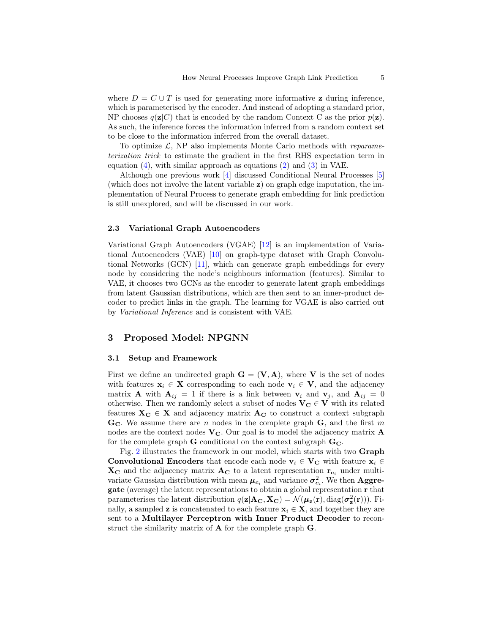where  $D = C \cup T$  is used for generating more informative **z** during inference, which is parameterised by the encoder. And instead of adopting a standard prior, NP chooses  $q(\mathbf{z}|C)$  that is encoded by the random Context C as the prior  $p(\mathbf{z})$ . As such, the inference forces the information inferred from a random context set to be close to the information inferred from the overall dataset.

To optimize  $\mathcal{L}$ , NP also implements Monte Carlo methods with *reparame*terization trick to estimate the gradient in the first RHS expectation term in equation  $(4)$ , with similar approach as equations  $(2)$  and  $(3)$  in VAE.

Although one previous work [\[4\]](#page-11-16) discussed Conditional Neural Processes [\[5\]](#page-11-17) (which does not involve the latent variable z) on graph edge imputation, the implementation of Neural Process to generate graph embedding for link prediction is still unexplored, and will be discussed in our work.

## 2.3 Variational Graph Autoencoders

Variational Graph Autoencoders (VGAE) [\[12\]](#page-11-10) is an implementation of Variational Autoencoders (VAE) [\[10\]](#page-11-15) on graph-type dataset with Graph Convolutional Networks (GCN) [\[11\]](#page-11-11), which can generate graph embeddings for every node by considering the node's neighbours information (features). Similar to VAE, it chooses two GCNs as the encoder to generate latent graph embeddings from latent Gaussian distributions, which are then sent to an inner-product decoder to predict links in the graph. The learning for VGAE is also carried out by Variational Inference and is consistent with VAE.

## 3 Proposed Model: NPGNN

#### 3.1 Setup and Framework

First we define an undirected graph  $\mathbf{G} = (\mathbf{V}, \mathbf{A})$ , where **V** is the set of nodes with features  $x_i \in X$  corresponding to each node  $v_i \in V$ , and the adjacency matrix **A** with  $A_{ij} = 1$  if there is a link between  $v_i$  and  $v_j$ , and  $A_{ij} = 0$ otherwise. Then we randomly select a subset of nodes  $V_C \in V$  with its related features  $X_C \in X$  and adjacency matrix  $A_C$  to construct a context subgraph  $\mathbf{G}_{\mathbf{C}}$ . We assume there are *n* nodes in the complete graph  $\mathbf{G}$ , and the first *m* nodes are the context nodes  $V_C$ . Our goal is to model the adjacency matrix  $A$ for the complete graph  ${\bf G}$  conditional on the context subgraph  ${\bf G_C}.$ 

Fig. [2](#page-5-0) illustrates the framework in our model, which starts with two Graph Convolutional Encoders that encode each node  $v_i \in V_C$  with feature  $x_i \in$  $X_{\rm C}$  and the adjacency matrix  $A_{\rm C}$  to a latent representation  $r_{c_i}$  under multivariate Gaussian distribution with mean  $\mu_{c_i}$  and variance  $\sigma_{c_i}^2$ . We then Aggregate (average) the latent representations to obtain a global representation r that parameterises the latent distribution  $q(\mathbf{z}|\mathbf{A_C}, \mathbf{X_C}) = \mathcal{N}(\boldsymbol{\mu}_{\mathbf{z}}(\mathbf{r}), \text{diag}(\boldsymbol{\sigma}_{\mathbf{z}}^2(\mathbf{r})))$ . Finally, a sampled **z** is concatenated to each feature  $x_i \in X$ , and together they are sent to a Multilayer Perceptron with Inner Product Decoder to reconstruct the similarity matrix of A for the complete graph G.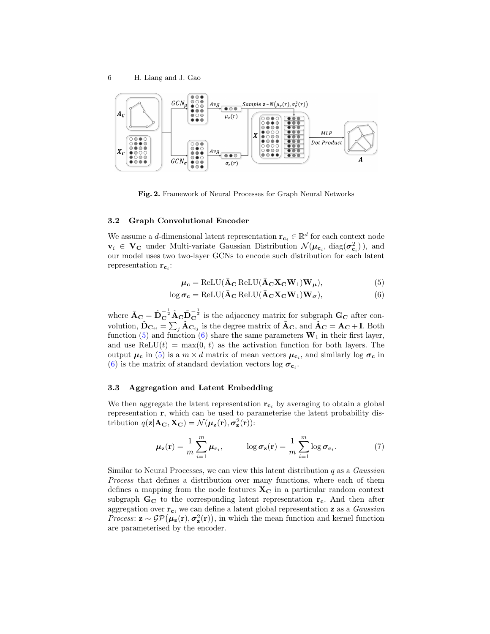

<span id="page-5-0"></span>Fig. 2. Framework of Neural Processes for Graph Neural Networks

## 3.2 Graph Convolutional Encoder

We assume a *d*-dimensional latent representation  $\mathbf{r}_{c_i} \in \mathbb{R}^d$  for each context node  $v_i \in V_{\mathbf{C}}$  under Multi-variate Gaussian Distribution  $\mathcal{N}(\boldsymbol{\mu}_{\mathbf{c}_i}, \text{diag}(\boldsymbol{\sigma}_{\mathbf{c}_i}^2))$ , and our model uses two two-layer GCNs to encode such distribution for each latent representation  $\mathbf{r}_{\mathbf{c}_i}$ :

<span id="page-5-2"></span><span id="page-5-1"></span>
$$
\mu_{\mathbf{c}} = \text{ReLU}(\bar{\mathbf{A}}_{\mathbf{C}} \text{ReLU}(\bar{\mathbf{A}}_{\mathbf{C}} \mathbf{X}_{\mathbf{C}} \mathbf{W}_1) \mathbf{W}_{\mu}),
$$
(5)

$$
\log \sigma_{\mathbf{c}} = \text{ReLU}(\bar{\mathbf{A}}_{\mathbf{C}} \text{ReLU}(\bar{\mathbf{A}}_{\mathbf{C}} \mathbf{X}_{\mathbf{C}} \mathbf{W}_1) \mathbf{W}_{\sigma}),
$$
(6)

where  $\bar{A}_{\mathbf{C}} = \tilde{D}_{\mathbf{C}}^{-\frac{1}{2}} \tilde{A}_{\mathbf{C}} \tilde{D}_{\mathbf{C}}^{-\frac{1}{2}}$  is the adjacency matrix for subgraph  $\mathbf{G}_{\mathbf{C}}$  after convolution,  $\tilde{D}_{\mathbf{C}_{ii}} = \sum_j \tilde{A}_{\mathbf{C}_{ij}}$  is the degree matrix of  $\tilde{A}_{\mathbf{C}}$ , and  $\tilde{A}_{\mathbf{C}} = A_{\mathbf{C}} + I$ . Both function [\(5\)](#page-5-1) and function [\(6\)](#page-5-2) share the same parameters  $W_1$  in their first layer, and use ReLU(t) = max(0, t) as the activation function for both layers. The output  $\mu_c$  in [\(5\)](#page-5-1) is a  $m \times d$  matrix of mean vectors  $\mu_{c_i}$ , and similarly log  $\sigma_c$  in [\(6\)](#page-5-2) is the matrix of standard deviation vectors log  $\sigma_{c_i}$ .

## 3.3 Aggregation and Latent Embedding

We then aggregate the latent representation  $r_{c_i}$  by averaging to obtain a global representation r, which can be used to parameterise the latent probability distribution  $q(\mathbf{z}|\mathbf{A_C}, \mathbf{X_C}) = \mathcal{N}(\boldsymbol{\mu}_{\mathbf{z}}(\mathbf{r}), \boldsymbol{\sigma}_{\mathbf{z}}^2(\mathbf{r}))$ :

<span id="page-5-3"></span>
$$
\mu_{\mathbf{z}}(\mathbf{r}) = \frac{1}{m} \sum_{i=1}^{m} \mu_{\mathbf{c}_i}, \qquad \log \sigma_{\mathbf{z}}(\mathbf{r}) = \frac{1}{m} \sum_{i=1}^{m} \log \sigma_{\mathbf{c}_i}.
$$
 (7)

Similar to Neural Processes, we can view this latent distribution  $q$  as a *Gaussian* Process that defines a distribution over many functions, where each of them defines a mapping from the node features  $X_{\text{C}}$  in a particular random context subgraph  $G_C$  to the corresponding latent representation  $r_c$ . And then after aggregation over  $r_c$ , we can define a latent global representation **z** as a *Gaussian Process*:  $z \sim \mathcal{GP}(\mu_z(r), \sigma_z^2(r))$ , in which the mean function and kernel function are parameterised by the encoder.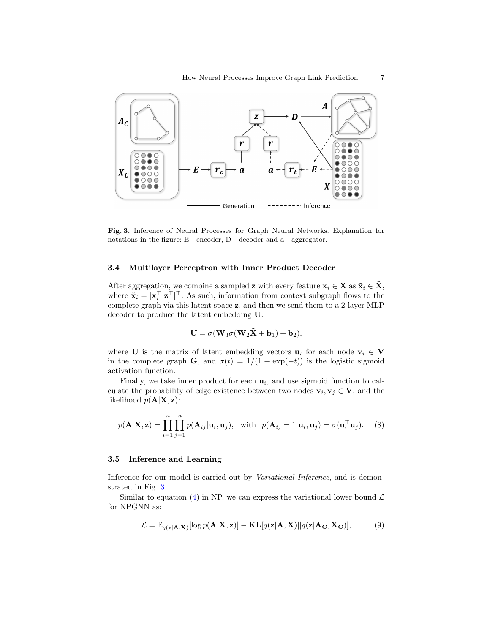

<span id="page-6-0"></span>Fig. 3. Inference of Neural Processes for Graph Neural Networks. Explanation for notations in the figure: E - encoder, D - decoder and a - aggregator.

## 3.4 Multilayer Perceptron with Inner Product Decoder

After aggregation, we combine a sampled z with every feature  $x_i \in X$  as  $\tilde{x}_i \in \tilde{X}$ , where  $\tilde{\mathbf{x}}_i = [\mathbf{x}_i^\top \ \mathbf{z}^\top]^\top$ . As such, information from context subgraph flows to the complete graph via this latent space z, and then we send them to a 2-layer MLP decoder to produce the latent embedding U:

<span id="page-6-1"></span>
$$
\mathbf{U} = \sigma(\mathbf{W}_3 \sigma(\mathbf{W}_2 \tilde{\mathbf{X}} + \mathbf{b}_1) + \mathbf{b}_2),
$$

where **U** is the matrix of latent embedding vectors  $\mathbf{u}_i$  for each node  $\mathbf{v}_i \in \mathbf{V}$ in the complete graph G, and  $\sigma(t) = 1/(1 + \exp(-t))$  is the logistic sigmoid activation function.

Finally, we take inner product for each  $\mathbf{u}_i$ , and use sigmoid function to calculate the probability of edge existence between two nodes  $\mathbf{v}_i, \mathbf{v}_j \in \mathbf{V}$ , and the likelihood  $p(\mathbf{A}|\mathbf{X}, \mathbf{z})$ :

$$
p(\mathbf{A}|\mathbf{X}, \mathbf{z}) = \prod_{i=1}^{n} \prod_{j=1}^{n} p(\mathbf{A}_{ij}|\mathbf{u}_i, \mathbf{u}_j), \text{ with } p(\mathbf{A}_{ij} = 1|\mathbf{u}_i, \mathbf{u}_j) = \sigma(\mathbf{u}_i^{\top} \mathbf{u}_j). \quad (8)
$$

## 3.5 Inference and Learning

Inference for our model is carried out by *Variational Inference*, and is demonstrated in Fig. [3.](#page-6-0)

Similar to equation [\(4\)](#page-3-1) in NP, we can express the variational lower bound  $\mathcal{L}$ for NPGNN as:

<span id="page-6-2"></span>
$$
\mathcal{L} = \mathbb{E}_{q(\mathbf{z}|\mathbf{A}, \mathbf{X})}[\log p(\mathbf{A}|\mathbf{X}, \mathbf{z})] - \mathbf{KL}[q(\mathbf{z}|\mathbf{A}, \mathbf{X})||q(\mathbf{z}|\mathbf{A}_{\mathbf{C}}, \mathbf{X}_{\mathbf{C}})],\tag{9}
$$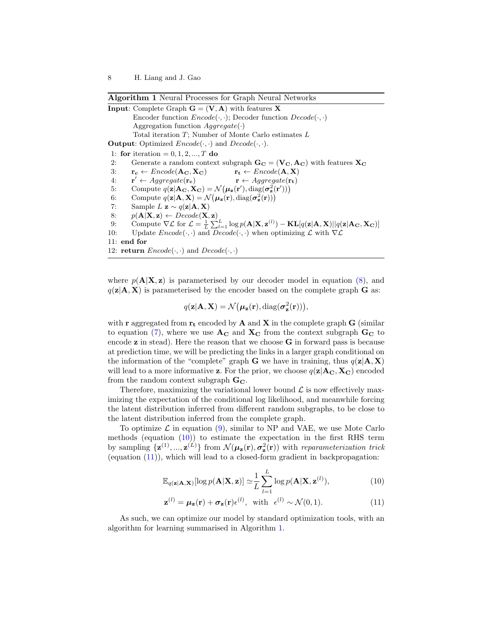<span id="page-7-2"></span>Algorithm 1 Neural Processes for Graph Neural Networks

**Input:** Complete Graph  $G = (V, A)$  with features X Encoder function  $Encode(\cdot, \cdot)$ ; Decoder function  $Decode(\cdot, \cdot)$ Aggregation function  $Aggregate(\cdot)$ Total iteration T; Number of Monte Carlo estimates L **Output:** Optimized  $Encode(\cdot, \cdot)$  and  $Decode(\cdot, \cdot)$ . 1: for iteration =  $0, 1, 2, ..., T$  do 2: Generate a random context subgraph  $\mathbf{G_C} = (\mathbf{V_C}, \mathbf{A_C})$  with features  $\mathbf{X_C}$ 3:  $r_c \leftarrow \text{Encode}(\mathbf{A_C}, \mathbf{X_C})$   $r_t \leftarrow \text{Encode}(\mathbf{A}, \mathbf{X})$ 4:  $\mathbf{r}' \leftarrow \text{Aggregate}(\mathbf{r_c})$  $\mathbf{r} \leftarrow \textit{Aggregate}(\mathbf{r_t})$ 5: Compute  $q(\mathbf{z}|\mathbf{A}_{\mathbf{C}}, \mathbf{X}_{\mathbf{C}}) = \mathcal{N}(\boldsymbol{\mu}_{\mathbf{z}}(\mathbf{r}'), \text{diag}(\boldsymbol{\sigma}_{\mathbf{z}}^2(\mathbf{r}')))$ 6: Compute  $q(\mathbf{z}|\mathbf{A}, \mathbf{X}) = \mathcal{N}(\boldsymbol{\mu}_{\mathbf{z}}(\mathbf{r}), \text{diag}(\boldsymbol{\sigma}_{\mathbf{z}}^2(\mathbf{r})))$ 7: Sample  $L \mathbf{z} \sim q(\mathbf{z}|\mathbf{A}, \mathbf{X})$ 8:  $p(\mathbf{A}|\mathbf{X}, \mathbf{z}) \leftarrow \text{Decode}(\mathbf{X}, \mathbf{z})$ 9: Compute  $\nabla \mathcal{L}$  for  $\mathcal{L} = \frac{1}{L} \sum_{l=1}^{L} \log p(\mathbf{A}|\mathbf{X}, \mathbf{z}^{(l)}) - \mathbf{KL}[q(\mathbf{z}|\mathbf{A}, \mathbf{X}) || q(\mathbf{z}|\mathbf{A}_{\mathbf{C}}, \mathbf{X}_{\mathbf{C}})]$ 10: Update  $Encode(\cdot, \cdot)$  and  $Decode(\cdot, \cdot)$  when optimizing  $\mathcal L$  with  $\nabla \mathcal L$ 11: end for 12: **return**  $Encode(\cdot, \cdot)$  and  $Decode(\cdot, \cdot)$ 

where  $p(\mathbf{A}|\mathbf{X}, \mathbf{z})$  is parameterised by our decoder model in equation [\(8\)](#page-6-1), and  $q(\mathbf{z}|\mathbf{A}, \mathbf{X})$  is parameterised by the encoder based on the complete graph **G** as:

$$
q(\mathbf{z}|\mathbf{A}, \mathbf{X}) = \mathcal{N}(\boldsymbol{\mu}_{\mathbf{z}}(\mathbf{r}), \text{diag}(\boldsymbol{\sigma}_{\mathbf{z}}^2(\mathbf{r}))),
$$

with **r** aggregated from  $\mathbf{r_t}$  encoded by **A** and **X** in the complete graph **G** (similar to equation [\(7\)](#page-5-3), where we use  $A_C$  and  $X_C$  from the context subgraph  $G_C$  to encode  $z$  in stead). Here the reason that we choose  $G$  in forward pass is because at prediction time, we will be predicting the links in a larger graph conditional on the information of the "complete" graph G we have in training, thus  $q(\mathbf{z}|\mathbf{A}, \mathbf{X})$ will lead to a more informative z. For the prior, we choose  $q(\mathbf{z}|\mathbf{A_C}, \mathbf{X_C})$  encoded from the random context subgraph  $G_C$ .

Therefore, maximizing the variational lower bound  $\mathcal L$  is now effectively maximizing the expectation of the conditional log likelihood, and meanwhile forcing the latent distribution inferred from different random subgraphs, to be close to the latent distribution inferred from the complete graph.

To optimize  $\mathcal L$  in equation [\(9\)](#page-6-2), similar to NP and VAE, we use Mote Carlo methods (equation  $(10)$ ) to estimate the expectation in the first RHS term by sampling  $\{z^{(1)},...,z^{(L)}\}$  from  $\mathcal{N}(\mu_{z}(\mathbf{r}),\sigma_{z}^{2}(\mathbf{r}))$  with reparameterization trick (equation [\(11\)](#page-7-1)), which will lead to a closed-form gradient in backpropagation:

<span id="page-7-0"></span>
$$
\mathbb{E}_{q(\mathbf{z}|\mathbf{A}, \mathbf{X})}[\log p(\mathbf{A}|\mathbf{X}, \mathbf{z})] \simeq \frac{1}{L} \sum_{l=1}^{L} \log p(\mathbf{A}|\mathbf{X}, \mathbf{z}^{(l)}),
$$
(10)

<span id="page-7-1"></span>
$$
\mathbf{z}^{(l)} = \boldsymbol{\mu}_\mathbf{z}(\mathbf{r}) + \boldsymbol{\sigma}_\mathbf{z}(\mathbf{r}) \epsilon^{(l)}, \text{ with } \epsilon^{(l)} \sim \mathcal{N}(0, 1). \tag{11}
$$

As such, we can optimize our model by standard optimization tools, with an algorithm for learning summarised in Algorithm [1.](#page-7-2)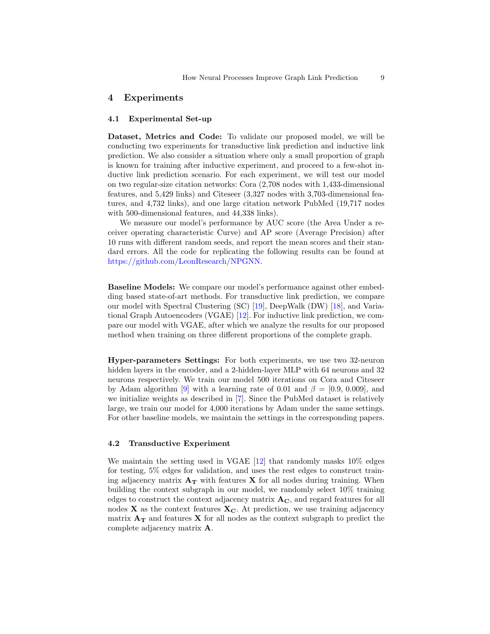## 4 Experiments

## 4.1 Experimental Set-up

Dataset, Metrics and Code: To validate our proposed model, we will be conducting two experiments for transductive link prediction and inductive link prediction. We also consider a situation where only a small proportion of graph is known for training after inductive experiment, and proceed to a few-shot inductive link prediction scenario. For each experiment, we will test our model on two regular-size citation networks: Cora (2,708 nodes with 1,433-dimensional features, and 5,429 links) and Citeseer (3,327 nodes with 3,703-dimensional features, and 4,732 links), and one large citation network PubMed (19,717 nodes with 500-dimensional features, and 44,338 links).

We measure our model's performance by AUC score (the Area Under a receiver operating characteristic Curve) and AP score (Average Precision) after 10 runs with different random seeds, and report the mean scores and their standard errors. All the code for replicating the following results can be found at [https://github.com/LeonResearch/NPGNN.](https://github.com/LeonResearch/NPGNN)

Baseline Models: We compare our model's performance against other embedding based state-of-art methods. For transductive link prediction, we compare our model with Spectral Clustering (SC) [\[19\]](#page-11-9), DeepWalk (DW) [\[18\]](#page-11-8), and Variational Graph Autoencoders (VGAE) [\[12\]](#page-11-10). For inductive link prediction, we compare our model with VGAE, after which we analyze the results for our proposed method when training on three different proportions of the complete graph.

Hyper-parameters Settings: For both experiments, we use two 32-neuron hidden layers in the encoder, and a 2-hidden-layer MLP with 64 neurons and 32 neurons respectively. We train our model 500 iterations on Cora and Citeseer by Adam algorithm [\[9\]](#page-11-18) with a learning rate of 0.01 and  $\beta = [0.9, 0.009]$ , and we initialize weights as described in [\[7\]](#page-11-19). Since the PubMed dataset is relatively large, we train our model for 4,000 iterations by Adam under the same settings. For other baseline models, we maintain the settings in the corresponding papers.

## 4.2 Transductive Experiment

We maintain the setting used in VGAE [\[12\]](#page-11-10) that randomly masks  $10\%$  edges for testing, 5% edges for validation, and uses the rest edges to construct training adjacency matrix  $A_T$  with features X for all nodes during training. When building the context subgraph in our model, we randomly select 10% training edges to construct the context adjacency matrix  $A_C$ , and regard features for all nodes  $X$  as the context features  $X_C$ . At prediction, we use training adjacency matrix  $A_T$  and features X for all nodes as the context subgraph to predict the complete adjacency matrix A.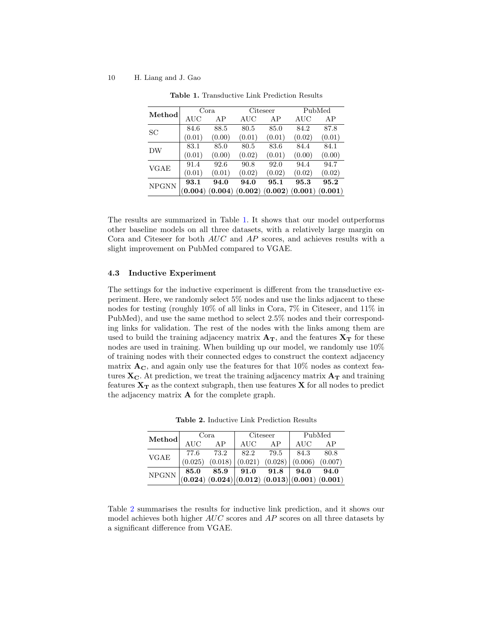### 10 H. Liang and J. Gao

| Method       | Cora    |         | Citeseer |                 | PubMed    |                     |
|--------------|---------|---------|----------|-----------------|-----------|---------------------|
|              | AUC     | AP      | AUC      | AP              | $\rm AUC$ | AP                  |
| SС           | 84.6    | 88.5    | 80.5     | 85.0            | 84.2      | 87.8                |
|              | (0.01)  | (0.00)  | (0.01)   | (0.01)          | (0.02)    | (0.01)              |
| DW           | 83.1    | 85.0    | 80.5     | 83.6            | 84.4      | 84.1                |
|              | (0.01)  | (0.00)  | (0.02)   | (0.01)          | (0.00)    | (0.00)              |
| VGAE         | 91.4    | 92.6    | 90.8     | 92.0            | 94.4      | 94.7                |
|              | (0.01)  | (0.01)  | (0.02)   | (0.02)          | (0.02)    | (0.02)              |
| <b>NPGNN</b> | 93.1    | 94.0    | 94.0     | 95.1            | 95.3      | 95.2                |
|              | (0.004) | (0.004) |          | (0.002) (0.002) |           | $(0.001)$ $(0.001)$ |

<span id="page-9-0"></span>Table 1. Transductive Link Prediction Results

The results are summarized in Table [1.](#page-9-0) It shows that our model outperforms other baseline models on all three datasets, with a relatively large margin on Cora and Citeseer for both AUC and AP scores, and achieves results with a slight improvement on PubMed compared to VGAE.

## 4.3 Inductive Experiment

The settings for the inductive experiment is different from the transductive experiment. Here, we randomly select 5% nodes and use the links adjacent to these nodes for testing (roughly 10% of all links in Cora, 7% in Citeseer, and 11% in PubMed), and use the same method to select 2.5% nodes and their corresponding links for validation. The rest of the nodes with the links among them are used to build the training adjacency matrix  $A_T$ , and the features  $X_T$  for these nodes are used in training. When building up our model, we randomly use 10% of training nodes with their connected edges to construct the context adjacency matrix  $A_C$ , and again only use the features for that 10% nodes as context features  $X_C$ . At prediction, we treat the training adjacency matrix  $A_T$  and training features  $X_T$  as the context subgraph, then use features X for all nodes to predict the adjacency matrix A for the complete graph.

| Method        | Cora       |      | Citeseer   |                                                                                                                                                                       | PubMed |        |
|---------------|------------|------|------------|-----------------------------------------------------------------------------------------------------------------------------------------------------------------------|--------|--------|
|               | <b>AUC</b> | AP   | <b>AUC</b> | AP                                                                                                                                                                    | AUC    | AP     |
| VGAE          | 77.6       | 73.2 | 82.2 79.5  |                                                                                                                                                                       | 84.3   | - 80.8 |
|               | (0.025)    |      |            | $(0.018)   (0.021) (0.028)   (0.006) (0.007)$                                                                                                                         |        |        |
| ${\rm NPGNN}$ |            |      |            | $\begin{array}{ c c c c c c } \hline 85.0 & 85.9 & 91.0 & 91.8 & 94.0 & 94.0 \ \hline (0.024) & (0.024) & (0.012) & (0.013) & (0.001) & (0.001) \ \hline \end{array}$ |        |        |
|               |            |      |            |                                                                                                                                                                       |        |        |

<span id="page-9-1"></span>Table 2. Inductive Link Prediction Results

Table [2](#page-9-1) summarises the results for inductive link prediction, and it shows our model achieves both higher  $AUC$  scores and  $AP$  scores on all three datasets by a significant difference from VGAE.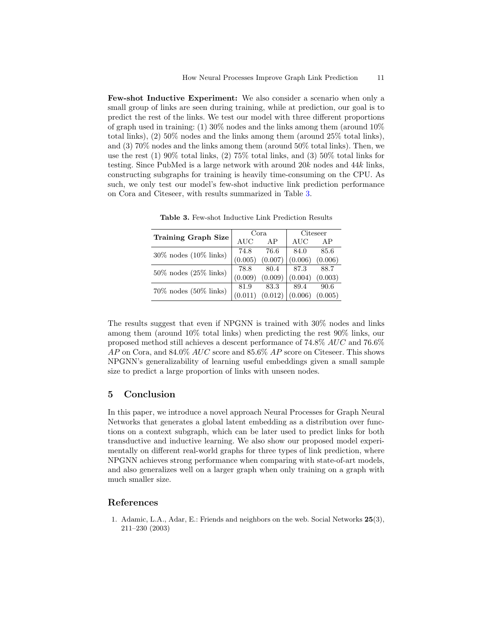Few-shot Inductive Experiment: We also consider a scenario when only a small group of links are seen during training, while at prediction, our goal is to predict the rest of the links. We test our model with three different proportions of graph used in training: (1)  $30\%$  nodes and the links among them (around  $10\%$ total links), (2) 50% nodes and the links among them (around 25% total links), and (3) 70% nodes and the links among them (around 50% total links). Then, we use the rest  $(1)$  90% total links,  $(2)$  75% total links, and  $(3)$  50% total links for testing. Since PubMed is a large network with around 20k nodes and 44k links, constructing subgraphs for training is heavily time-consuming on the CPU. As such, we only test our model's few-shot inductive link prediction performance on Cora and Citeseer, with results summarized in Table [3.](#page-10-1)

|                             | Cora    |         | Citeseer   |         |
|-----------------------------|---------|---------|------------|---------|
| <b>Training Graph Size</b>  | AUC     | AP      | <b>AUC</b> | AP      |
| $30\%$ nodes $(10\%$ links) | 74.8    | 76.6    | 84.0       | 85.6    |
|                             | (0.005) | (0.007) | (0.006)    | (0.006) |
| $50\%$ nodes $(25\%$ links) | 78.8    | 80.4    | 87.3       | 88.7    |
|                             | (0.009) | (0.009) | (0.004)    | (0.003) |
| $70\%$ nodes $(50\%$ links) | 81.9    | 83.3    | 89.4       | 90.6    |
|                             |         | (0.012) | (0.006)    | (0.005) |

<span id="page-10-1"></span>Table 3. Few-shot Inductive Link Prediction Results

The results suggest that even if NPGNN is trained with 30% nodes and links among them (around 10% total links) when predicting the rest 90% links, our proposed method still achieves a descent performance of 74.8% AUC and 76.6%  $AP$  on Cora, and 84.0%  $AUC$  score and 85.6%  $AP$  score on Citeseer. This shows NPGNN's generalizability of learning useful embeddings given a small sample size to predict a large proportion of links with unseen nodes.

# 5 Conclusion

In this paper, we introduce a novel approach Neural Processes for Graph Neural Networks that generates a global latent embedding as a distribution over functions on a context subgraph, which can be later used to predict links for both transductive and inductive learning. We also show our proposed model experimentally on different real-world graphs for three types of link prediction, where NPGNN achieves strong performance when comparing with state-of-art models, and also generalizes well on a larger graph when only training on a graph with much smaller size.

# References

<span id="page-10-0"></span>1. Adamic, L.A., Adar, E.: Friends and neighbors on the web. Social Networks 25(3), 211–230 (2003)